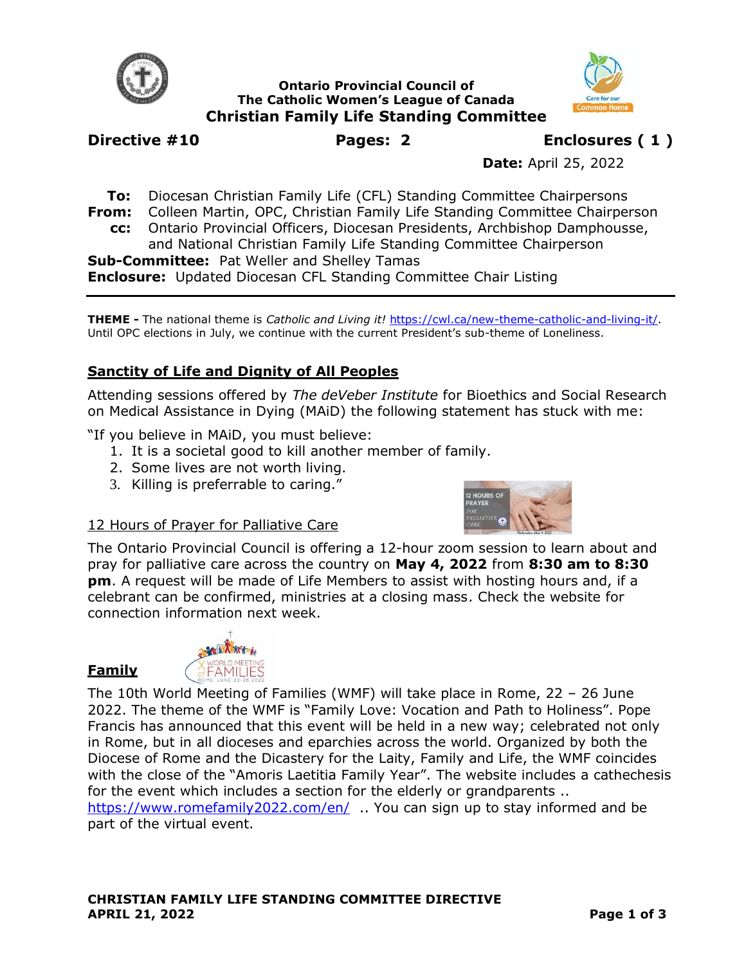

**Ontario Provincial Council of The Catholic Women's League of Canada Christian Family Life Standing Committee**



**Date:** April 25, 2022

**To:** Diocesan Christian Family Life (CFL) Standing Committee Chairpersons **From:** Colleen Martin, OPC, Christian Family Life Standing Committee Chairperson **cc:** Ontario Provincial Officers, Diocesan Presidents, Archbishop Damphousse,

and National Christian Family Life Standing Committee Chairperson **Sub-Committee:** Pat Weller and Shelley Tamas

**Enclosure:** Updated Diocesan CFL Standing Committee Chair Listing

**THEME -** The national theme is *Catholic and Living it!* [https://cwl.ca/new-theme-catholic-and-living-it/.](https://cwl.ca/new-theme-catholic-and-living-it/) Until OPC elections in July, we continue with the current President's sub-theme of Loneliness.

# **Sanctity of Life and Dignity of All Peoples**

Attending sessions offered by *The deVeber Institute* for Bioethics and Social Research on Medical Assistance in Dying (MAiD) the following statement has stuck with me:

"If you believe in MAiD, you must believe:

- 1. It is a societal good to kill another member of family.
- 2. Some lives are not worth living.
- 3. Killing is preferrable to caring."



## 12 Hours of Prayer for Palliative Care

The Ontario Provincial Council is offering a 12-hour zoom session to learn about and pray for palliative care across the country on **May 4, 2022** from **8:30 am to 8:30 pm**. A request will be made of Life Members to assist with hosting hours and, if a celebrant can be confirmed, ministries at a closing mass. Check the website for connection information next week.



**Family** 

The 10th World Meeting of Families (WMF) will take place in Rome, 22 – 26 June 2022. The theme of the WMF is "Family Love: Vocation and Path to Holiness". Pope Francis has announced that this event will be held in a new way; celebrated not only in Rome, but in all dioceses and eparchies across the world. Organized by both the Diocese of Rome and the Dicastery for the Laity, Family and Life, the WMF coincides with the close of the "Amoris Laetitia Family Year". The website includes a cathechesis for the event which includes a section for the elderly or grandparents ..

<https://www.romefamily2022.com/en/> .. You can sign up to stay informed and be part of the virtual event.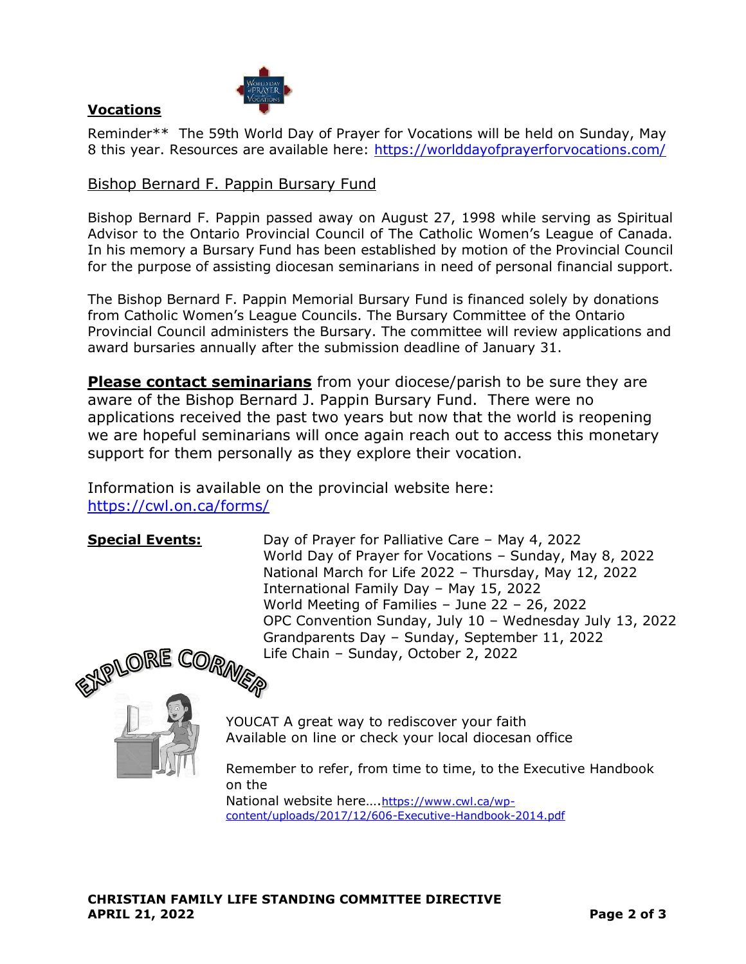

# **Vocations**

Reminder\*\* The 59th World Day of Prayer for Vocations will be held on Sunday, May 8 this year. Resources are available here:<https://worlddayofprayerforvocations.com/>

### Bishop Bernard F. Pappin Bursary Fund

Bishop Bernard F. Pappin passed away on August 27, 1998 while serving as Spiritual Advisor to the Ontario Provincial Council of The Catholic Women's League of Canada. In his memory a Bursary Fund has been established by motion of the Provincial Council for the purpose of assisting diocesan seminarians in need of personal financial support.

The Bishop Bernard F. Pappin Memorial Bursary Fund is financed solely by donations from Catholic Women's League Councils. The Bursary Committee of the Ontario Provincial Council administers the Bursary. The committee will review applications and award bursaries annually after the submission deadline of January 31.

**Please contact seminarians** from your diocese/parish to be sure they are aware of the Bishop Bernard J. Pappin Bursary Fund. There were no applications received the past two years but now that the world is reopening we are hopeful seminarians will once again reach out to access this monetary support for them personally as they explore their vocation.

Information is available on the provincial website here: <https://cwl.on.ca/forms/>

**Special Events:** Day of Prayer for Palliative Care – May 4, 2022 World Day of Prayer for Vocations – Sunday, May 8, 2022 National March for Life 2022 – Thursday, May 12, 2022 International Family Day – May 15, 2022 World Meeting of Families – June 22 – 26, 2022 OPC Convention Sunday, July 10 – Wednesday July 13, 2022 Grandparents Day – Sunday, September 11, 2022 Life Chain – Sunday, October 2, 2022



YOUCAT A great way to rediscover your faith Available on line or check your local diocesan office

Remember to refer, from time to time, to the Executive Handbook on the National website here….[https://www.cwl.ca/wp](https://www.cwl.ca/wp-content/uploads/2017/12/606-Executive-Handbook-2014.pdf)[content/uploads/2017/12/606-Executive-Handbook-2014.pdf](https://www.cwl.ca/wp-content/uploads/2017/12/606-Executive-Handbook-2014.pdf)